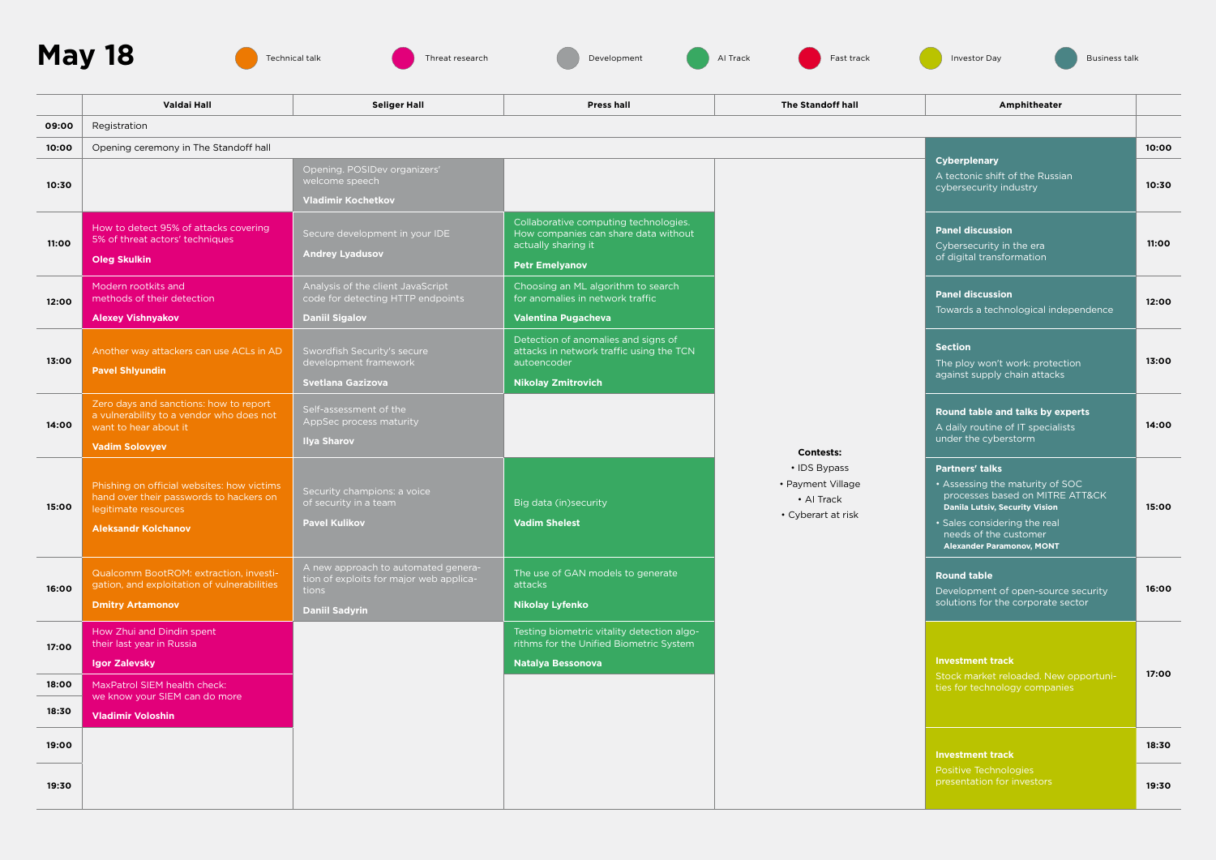





|       | Valdai Hall                                                                                                                                 | <b>Seliger Hall</b>                                                                                              | <b>Press hall</b>                                                                                                             | <b>The Standoff hall</b>                                                                  | Amphitheater                                                                                                                                                                                                                       |       |  |  |
|-------|---------------------------------------------------------------------------------------------------------------------------------------------|------------------------------------------------------------------------------------------------------------------|-------------------------------------------------------------------------------------------------------------------------------|-------------------------------------------------------------------------------------------|------------------------------------------------------------------------------------------------------------------------------------------------------------------------------------------------------------------------------------|-------|--|--|
| 09:00 | Registration                                                                                                                                |                                                                                                                  |                                                                                                                               |                                                                                           |                                                                                                                                                                                                                                    |       |  |  |
| 10:00 | Opening ceremony in The Standoff hall                                                                                                       |                                                                                                                  |                                                                                                                               |                                                                                           |                                                                                                                                                                                                                                    |       |  |  |
| 10:30 |                                                                                                                                             | Opening. POSIDev organizers'<br>welcome speech<br><b>Vladimir Kochetkov</b>                                      |                                                                                                                               |                                                                                           | Cyberplenary<br>A tectonic shift of the Russian<br>cybersecurity industry                                                                                                                                                          | 10:30 |  |  |
| 11:00 | How to detect 95% of attacks covering<br>5% of threat actors' techniques<br>Oleg Skulkin                                                    | Secure development in your IDE<br><b>Andrey Lyadusov</b>                                                         | Collaborative computing technologies.<br>How companies can share data without<br>actually sharing it<br><b>Petr Emelyanov</b> | <b>Contests:</b><br>• IDS Bypass<br>• Payment Village<br>• AI Track<br>• Cyberart at risk | <b>Panel discussion</b><br>Cybersecurity in the era<br>of digital transformation                                                                                                                                                   | 11:00 |  |  |
| 12:00 | Modern rootkits and<br>methods of their detection<br><b>Alexey Vishnyakov</b>                                                               | Analysis of the client JavaScript<br>code for detecting HTTP endpoints<br><b>Daniil Sigalov</b>                  | Choosing an ML algorithm to search<br>for anomalies in network traffic<br>Valentina Pugacheva                                 |                                                                                           | <b>Panel discussion</b><br>Towards a technological independence                                                                                                                                                                    | 12:00 |  |  |
| 13:00 | Another way attackers can use ACLs in AD<br><b>Pavel Shlyundin</b>                                                                          | Swordfish Security's secure<br>development framework<br><b>Svetlana Gazizova</b>                                 | Detection of anomalies and signs of<br>attacks in network traffic using the TCN<br>autoencoder<br><b>Nikolay Zmitrovich</b>   |                                                                                           | <b>Section</b><br>The ploy won't work: protection<br>against supply chain attacks                                                                                                                                                  | 13:00 |  |  |
| 14:00 | Zero days and sanctions: how to report<br>a vulnerability to a vendor who does not<br>want to hear about it<br><b>Vadim Solovyev</b>        | Self-assessment of the<br>AppSec process maturity<br><b>Ilya Sharov</b>                                          |                                                                                                                               |                                                                                           | Round table and talks by experts<br>A daily routine of IT specialists<br>under the cyberstorm                                                                                                                                      | 14:00 |  |  |
| 15:00 | Phishing on official websites: how victims<br>hand over their passwords to hackers on<br>legitimate resources<br><b>Aleksandr Kolchanov</b> | Security champions: a voice<br>of security in a team<br><b>Pavel Kulikov</b>                                     | Big data (in) security<br><b>Vadim Shelest</b>                                                                                |                                                                                           | <b>Partners' talks</b><br>• Assessing the maturity of SOC<br>processes based on MITRE ATT&CK<br><b>Danila Lutsiv, Security Vision</b><br>• Sales considering the real<br>needs of the customer<br><b>Alexander Paramonov, MONT</b> | 15:00 |  |  |
| 16:00 | Qualcomm BootROM: extraction, investi-<br>gation, and exploitation of vulnerabilities<br><b>Dmitry Artamonov</b>                            | A new approach to automated genera-<br>tion of exploits for major web applica-<br>tions<br><b>Daniil Sadyrin</b> | The use of GAN models to generate<br>attacks<br>Nikolay Lyfenko                                                               |                                                                                           | <b>Round table</b><br>Development of open-source security<br>solutions for the corporate sector                                                                                                                                    | 16:00 |  |  |
| 17:00 | How Zhui and Dindin spent<br>their last year in Russia<br>Igor Zalevsky                                                                     |                                                                                                                  | Testing biometric vitality detection algo-<br>rithms for the Unified Biometric System<br><b>Natalya Bessonova</b>             |                                                                                           | <b>Investment track</b><br>Stock market reloaded. New opportuni-                                                                                                                                                                   | 17:00 |  |  |
| 18:00 | MaxPatrol SIEM health check:<br>we know your SIEM can do more                                                                               |                                                                                                                  |                                                                                                                               |                                                                                           | ties for technology companies                                                                                                                                                                                                      |       |  |  |
| 18:30 | <b>Vladimir Voloshin</b>                                                                                                                    |                                                                                                                  |                                                                                                                               |                                                                                           |                                                                                                                                                                                                                                    |       |  |  |
| 19:00 |                                                                                                                                             |                                                                                                                  |                                                                                                                               |                                                                                           | <b>Investment track</b><br>Positive Technologies<br>presentation for investors                                                                                                                                                     | 18:30 |  |  |
| 19:30 |                                                                                                                                             |                                                                                                                  |                                                                                                                               |                                                                                           |                                                                                                                                                                                                                                    | 19:30 |  |  |